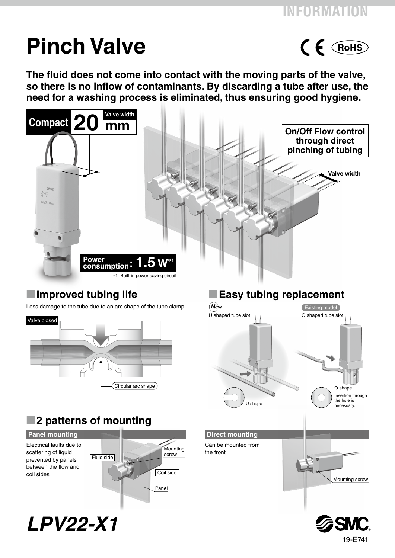$C \n\in \mathsf{RoHS}$ 

# **Pinch Valve**

**The fluid does not come into contact with the moving parts of the valve, so there is no inflow of contaminants. By discarding a tube after use, the need for a washing process is eliminated, thus ensuring good hygiene.**





*LPV22-X1*